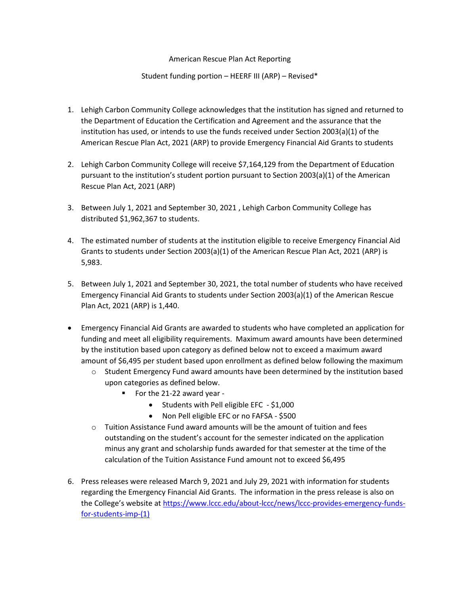## American Rescue Plan Act Reporting

## Student funding portion – HEERF III (ARP) – Revised\*

- 1. Lehigh Carbon Community College acknowledges that the institution has signed and returned to the Department of Education the Certification and Agreement and the assurance that the institution has used, or intends to use the funds received under Section 2003(a)(1) of the American Rescue Plan Act, 2021 (ARP) to provide Emergency Financial Aid Grants to students
- 2. Lehigh Carbon Community College will receive \$7,164,129 from the Department of Education pursuant to the institution's student portion pursuant to Section 2003(a)(1) of the American Rescue Plan Act, 2021 (ARP)
- 3. Between July 1, 2021 and September 30, 2021 , Lehigh Carbon Community College has distributed \$1,962,367 to students.
- 4. The estimated number of students at the institution eligible to receive Emergency Financial Aid Grants to students under Section 2003(a)(1) of the American Rescue Plan Act, 2021 (ARP) is 5,983.
- 5. Between July 1, 2021 and September 30, 2021, the total number of students who have received Emergency Financial Aid Grants to students under Section 2003(a)(1) of the American Rescue Plan Act, 2021 (ARP) is 1,440.
- Emergency Financial Aid Grants are awarded to students who have completed an application for funding and meet all eligibility requirements. Maximum award amounts have been determined by the institution based upon category as defined below not to exceed a maximum award amount of \$6,495 per student based upon enrollment as defined below following the maximum
	- o Student Emergency Fund award amounts have been determined by the institution based upon categories as defined below.
		- For the 21-22 award year -
			- Students with Pell eligible EFC \$1,000
			- Non Pell eligible EFC or no FAFSA \$500
	- $\circ$  Tuition Assistance Fund award amounts will be the amount of tuition and fees outstanding on the student's account for the semester indicated on the application minus any grant and scholarship funds awarded for that semester at the time of the calculation of the Tuition Assistance Fund amount not to exceed \$6,495
- 6. Press releases were released March 9, 2021 and July 29, 2021 with information for students regarding the Emergency Financial Aid Grants. The information in the press release is also on the College's website at [https://www.lccc.edu/about-lccc/news/lccc-provides-emergency-funds](https://www.lccc.edu/about-lccc/news/lccc-provides-emergency-funds-for-students-imp-(1))[for-students-imp-\(1\)](https://www.lccc.edu/about-lccc/news/lccc-provides-emergency-funds-for-students-imp-(1))